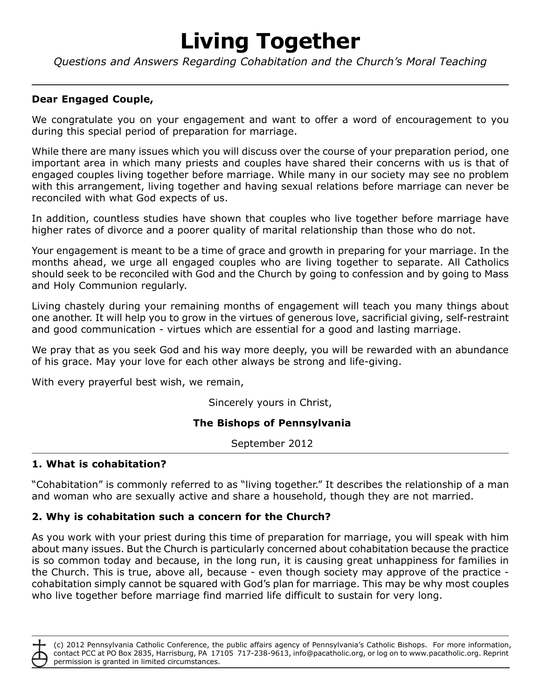# **Living Together**

*Questions and Answers Regarding Cohabitation and the Church's Moral Teaching*

## **Dear Engaged Couple,**

We congratulate you on your engagement and want to offer a word of encouragement to you during this special period of preparation for marriage.

While there are many issues which you will discuss over the course of your preparation period, one important area in which many priests and couples have shared their concerns with us is that of engaged couples living together before marriage. While many in our society may see no problem with this arrangement, living together and having sexual relations before marriage can never be reconciled with what God expects of us.

In addition, countless studies have shown that couples who live together before marriage have higher rates of divorce and a poorer quality of marital relationship than those who do not.

Your engagement is meant to be a time of grace and growth in preparing for your marriage. In the months ahead, we urge all engaged couples who are living together to separate. All Catholics should seek to be reconciled with God and the Church by going to confession and by going to Mass and Holy Communion regularly.

Living chastely during your remaining months of engagement will teach you many things about one another. It will help you to grow in the virtues of generous love, sacrificial giving, self-restraint and good communication - virtues which are essential for a good and lasting marriage.

We pray that as you seek God and his way more deeply, you will be rewarded with an abundance of his grace. May your love for each other always be strong and life-giving.

With every prayerful best wish, we remain,

Sincerely yours in Christ,

## **The Bishops of Pennsylvania**

September 2012

#### **1. What is cohabitation?**

"Cohabitation" is commonly referred to as "living together." It describes the relationship of a man and woman who are sexually active and share a household, though they are not married.

## **2. Why is cohabitation such a concern for the Church?**

As you work with your priest during this time of preparation for marriage, you will speak with him about many issues. But the Church is particularly concerned about cohabitation because the practice is so common today and because, in the long run, it is causing great unhappiness for families in the Church. This is true, above all, because - even though society may approve of the practice cohabitation simply cannot be squared with God's plan for marriage. This may be why most couples who live together before marriage find married life difficult to sustain for very long.

(c) 2012 Pennsylvania Catholic Conference, the public affairs agency of Pennsylvania's Catholic Bishops. For more information, contact PCC at PO Box 2835, Harrisburg, PA 17105 717-238-9613, info@pacatholic.org, or log on to www.pacatholic.org. Reprint permission is granted in limited circumstances.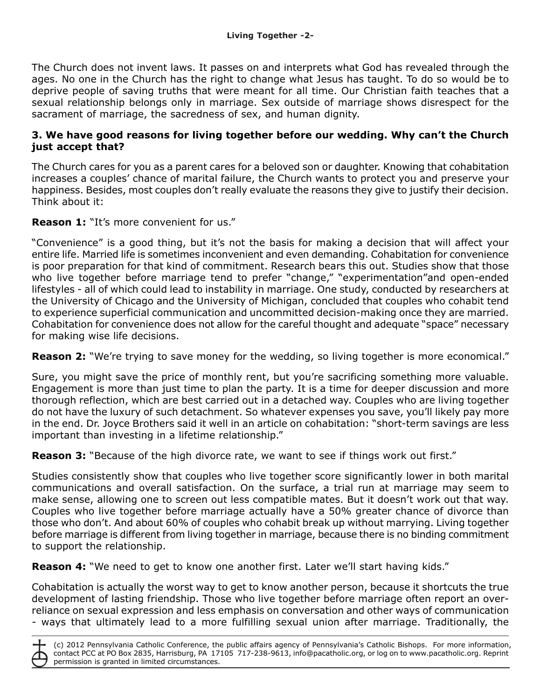The Church does not invent laws. It passes on and interprets what God has revealed through the ages. No one in the Church has the right to change what Jesus has taught. To do so would be to deprive people of saving truths that were meant for all time. Our Christian faith teaches that a sexual relationship belongs only in marriage. Sex outside of marriage shows disrespect for the sacrament of marriage, the sacredness of sex, and human dignity.

#### **3. We have good reasons for living together before our wedding. Why can't the Church just accept that?**

The Church cares for you as a parent cares for a beloved son or daughter. Knowing that cohabitation increases a couples' chance of marital failure, the Church wants to protect you and preserve your happiness. Besides, most couples don't really evaluate the reasons they give to justify their decision. Think about it:

**Reason 1:** "It's more convenient for us."

"Convenience" is a good thing, but it's not the basis for making a decision that will affect your entire life. Married life is sometimes inconvenient and even demanding. Cohabitation for convenience is poor preparation for that kind of commitment. Research bears this out. Studies show that those who live together before marriage tend to prefer "change," "experimentation"and open-ended lifestyles - all of which could lead to instability in marriage. One study, conducted by researchers at the University of Chicago and the University of Michigan, concluded that couples who cohabit tend to experience superficial communication and uncommitted decision-making once they are married. Cohabitation for convenience does not allow for the careful thought and adequate "space" necessary for making wise life decisions.

**Reason 2:** "We're trying to save money for the wedding, so living together is more economical."

Sure, you might save the price of monthly rent, but you're sacrificing something more valuable. Engagement is more than just time to plan the party. It is a time for deeper discussion and more thorough reflection, which are best carried out in a detached way. Couples who are living together do not have the luxury of such detachment. So whatever expenses you save, you'll likely pay more in the end. Dr. Joyce Brothers said it well in an article on cohabitation: "short-term savings are less important than investing in a lifetime relationship."

**Reason 3:** "Because of the high divorce rate, we want to see if things work out first."

Studies consistently show that couples who live together score significantly lower in both marital communications and overall satisfaction. On the surface, a trial run at marriage may seem to make sense, allowing one to screen out less compatible mates. But it doesn't work out that way. Couples who live together before marriage actually have a 50% greater chance of divorce than those who don't. And about 60% of couples who cohabit break up without marrying. Living together before marriage is different from living together in marriage, because there is no binding commitment to support the relationship.

**Reason 4:** "We need to get to know one another first. Later we'll start having kids."

Cohabitation is actually the worst way to get to know another person, because it shortcuts the true development of lasting friendship. Those who live together before marriage often report an overreliance on sexual expression and less emphasis on conversation and other ways of communication - ways that ultimately lead to a more fulfilling sexual union after marriage. Traditionally, the

(c) 2012 Pennsylvania Catholic Conference, the public affairs agency of Pennsylvania's Catholic Bishops. For more information, contact PCC at PO Box 2835, Harrisburg, PA 17105 717-238-9613, info@pacatholic.org, or log on to www.pacatholic.org. Reprint permission is granted in limited circumstances.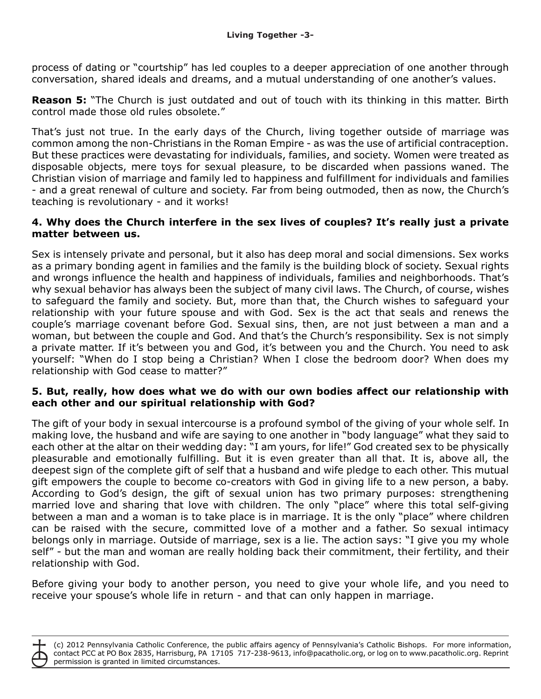process of dating or "courtship" has led couples to a deeper appreciation of one another through conversation, shared ideals and dreams, and a mutual understanding of one another's values.

**Reason 5:** "The Church is just outdated and out of touch with its thinking in this matter. Birth control made those old rules obsolete."

That's just not true. In the early days of the Church, living together outside of marriage was common among the non-Christians in the Roman Empire - as was the use of artificial contraception. But these practices were devastating for individuals, families, and society. Women were treated as disposable objects, mere toys for sexual pleasure, to be discarded when passions waned. The Christian vision of marriage and family led to happiness and fulfillment for individuals and families - and a great renewal of culture and society. Far from being outmoded, then as now, the Church's teaching is revolutionary - and it works!

#### **4. Why does the Church interfere in the sex lives of couples? It's really just a private matter between us.**

Sex is intensely private and personal, but it also has deep moral and social dimensions. Sex works as a primary bonding agent in families and the family is the building block of society. Sexual rights and wrongs influence the health and happiness of individuals, families and neighborhoods. That's why sexual behavior has always been the subject of many civil laws. The Church, of course, wishes to safeguard the family and society. But, more than that, the Church wishes to safeguard your relationship with your future spouse and with God. Sex is the act that seals and renews the couple's marriage covenant before God. Sexual sins, then, are not just between a man and a woman, but between the couple and God. And that's the Church's responsibility. Sex is not simply a private matter. If it's between you and God, it's between you and the Church. You need to ask yourself: "When do I stop being a Christian? When I close the bedroom door? When does my relationship with God cease to matter?"

#### **5. But, really, how does what we do with our own bodies affect our relationship with each other and our spiritual relationship with God?**

The gift of your body in sexual intercourse is a profound symbol of the giving of your whole self. In making love, the husband and wife are saying to one another in "body language" what they said to each other at the altar on their wedding day: "I am yours, for life!" God created sex to be physically pleasurable and emotionally fulfilling. But it is even greater than all that. It is, above all, the deepest sign of the complete gift of self that a husband and wife pledge to each other. This mutual gift empowers the couple to become co-creators with God in giving life to a new person, a baby. According to God's design, the gift of sexual union has two primary purposes: strengthening married love and sharing that love with children. The only "place" where this total self-giving between a man and a woman is to take place is in marriage. It is the only "place" where children can be raised with the secure, committed love of a mother and a father. So sexual intimacy belongs only in marriage. Outside of marriage, sex is a lie. The action says: "I give you my whole self" - but the man and woman are really holding back their commitment, their fertility, and their relationship with God.

Before giving your body to another person, you need to give your whole life, and you need to receive your spouse's whole life in return - and that can only happen in marriage.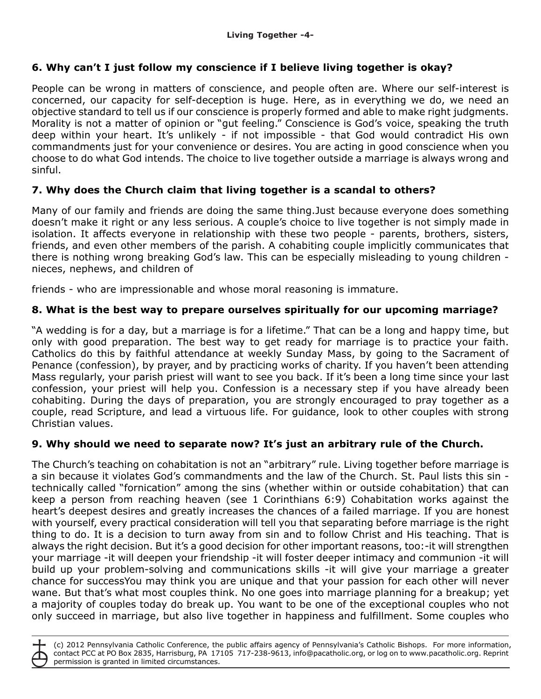# **6. Why can't I just follow my conscience if I believe living together is okay?**

People can be wrong in matters of conscience, and people often are. Where our self-interest is concerned, our capacity for self-deception is huge. Here, as in everything we do, we need an objective standard to tell us if our conscience is properly formed and able to make right judgments. Morality is not a matter of opinion or "gut feeling." Conscience is God's voice, speaking the truth deep within your heart. It's unlikely - if not impossible - that God would contradict His own commandments just for your convenience or desires. You are acting in good conscience when you choose to do what God intends. The choice to live together outside a marriage is always wrong and sinful.

## **7. Why does the Church claim that living together is a scandal to others?**

Many of our family and friends are doing the same thing.Just because everyone does something doesn't make it right or any less serious. A couple's choice to live together is not simply made in isolation. It affects everyone in relationship with these two people - parents, brothers, sisters, friends, and even other members of the parish. A cohabiting couple implicitly communicates that there is nothing wrong breaking God's law. This can be especially misleading to young children nieces, nephews, and children of

friends - who are impressionable and whose moral reasoning is immature.

## **8. What is the best way to prepare ourselves spiritually for our upcoming marriage?**

"A wedding is for a day, but a marriage is for a lifetime." That can be a long and happy time, but only with good preparation. The best way to get ready for marriage is to practice your faith. Catholics do this by faithful attendance at weekly Sunday Mass, by going to the Sacrament of Penance (confession), by prayer, and by practicing works of charity. If you haven't been attending Mass regularly, your parish priest will want to see you back. If it's been a long time since your last confession, your priest will help you. Confession is a necessary step if you have already been cohabiting. During the days of preparation, you are strongly encouraged to pray together as a couple, read Scripture, and lead a virtuous life. For guidance, look to other couples with strong Christian values.

## **9. Why should we need to separate now? It's just an arbitrary rule of the Church.**

The Church's teaching on cohabitation is not an "arbitrary" rule. Living together before marriage is a sin because it violates God's commandments and the law of the Church. St. Paul lists this sin technically called "fornication" among the sins (whether within or outside cohabitation) that can keep a person from reaching heaven (see 1 Corinthians 6:9) Cohabitation works against the heart's deepest desires and greatly increases the chances of a failed marriage. If you are honest with yourself, every practical consideration will tell you that separating before marriage is the right thing to do. It is a decision to turn away from sin and to follow Christ and His teaching. That is always the right decision. But it's a good decision for other important reasons, too:-it will strengthen your marriage -it will deepen your friendship -it will foster deeper intimacy and communion -it will build up your problem-solving and communications skills -it will give your marriage a greater chance for successYou may think you are unique and that your passion for each other will never wane. But that's what most couples think. No one goes into marriage planning for a breakup; yet a majority of couples today do break up. You want to be one of the exceptional couples who not only succeed in marriage, but also live together in happiness and fulfillment. Some couples who

(c) 2012 Pennsylvania Catholic Conference, the public affairs agency of Pennsylvania's Catholic Bishops. For more information, contact PCC at PO Box 2835, Harrisburg, PA 17105 717-238-9613, info@pacatholic.org, or log on to www.pacatholic.org. Reprint permission is granted in limited circumstances.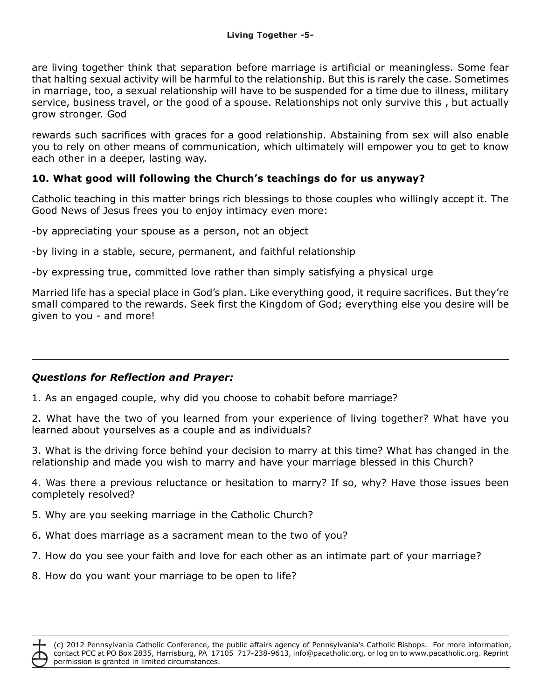are living together think that separation before marriage is artificial or meaningless. Some fear that halting sexual activity will be harmful to the relationship. But this is rarely the case. Sometimes in marriage, too, a sexual relationship will have to be suspended for a time due to illness, military service, business travel, or the good of a spouse. Relationships not only survive this , but actually grow stronger. God

rewards such sacrifices with graces for a good relationship. Abstaining from sex will also enable you to rely on other means of communication, which ultimately will empower you to get to know each other in a deeper, lasting way.

## **10. What good will following the Church's teachings do for us anyway?**

Catholic teaching in this matter brings rich blessings to those couples who willingly accept it. The Good News of Jesus frees you to enjoy intimacy even more:

-by appreciating your spouse as a person, not an object

-by living in a stable, secure, permanent, and faithful relationship

-by expressing true, committed love rather than simply satisfying a physical urge

Married life has a special place in God's plan. Like everything good, it require sacrifices. But they're small compared to the rewards. Seek first the Kingdom of God; everything else you desire will be given to you - and more!

#### *Questions for Reflection and Prayer:*

1. As an engaged couple, why did you choose to cohabit before marriage?

2. What have the two of you learned from your experience of living together? What have you learned about yourselves as a couple and as individuals?

3. What is the driving force behind your decision to marry at this time? What has changed in the relationship and made you wish to marry and have your marriage blessed in this Church?

4. Was there a previous reluctance or hesitation to marry? If so, why? Have those issues been completely resolved?

- 5. Why are you seeking marriage in the Catholic Church?
- 6. What does marriage as a sacrament mean to the two of you?
- 7. How do you see your faith and love for each other as an intimate part of your marriage?
- 8. How do you want your marriage to be open to life?